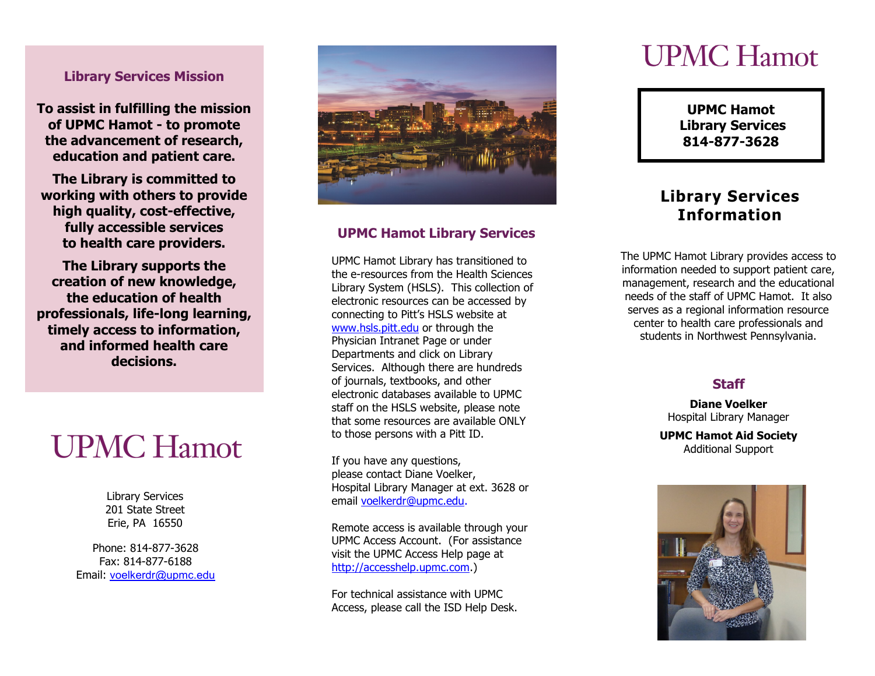## **Library Services Mission**

**To assist in fulfilling the mission of UPMC Hamot - to promote the advancement of research, education and patient care.** 

**The Library is committed to working with others to provide high quality, cost -effective, fully accessible services to health care providers.** 

**The Library supports the creation of new knowledge, the education of health professionals, life -long learning, timely access to information, and informed health care decisions.**

# **UPMC Hamot**

Library Services 201 State Street Erie, PA 16550

Phone: 814 -877 -3628 Fax: 814 -877 -6188 Email: [voelkerdr@upmc.edu](mailto:voelkerdr@upmc.edu)



# **UPMC Hamot Library Services**

UPMC Hamot Library has transitioned to the e -resources from the Health Sciences Library System (HSLS). This collection of electronic resources can be accessed by connecting to Pitt's HSLS website at [www.hsls.pitt.edu](http://www.hsls.pitt.edu/) or through the Physician Intranet Page or under Departments and click on Library Services. Although there are hundreds of journals, textbooks, and other electronic databases available to UPMC staff on the HSLS website, please note that some resources are available ONLY to those persons with a Pitt ID.

If you have any questions, please contact Diane Voelker, Hospital Library Manager at ext. 3628 or email [voelkerdr@upmc.edu](mailto:voelkerdr@upmc.edu).

Remote access is available through your UPMC Access Account. (For assistance visit the UPMC Access Help page at [http://accesshelp.upmc.com.](http://accesshelp.upmc.com/))

For technical assistance with UPMC Access, please call the ISD Help Desk.

# **UPMC Hamot**

**UPMC Hamot Library Services 814 -877 -3628**

# **Library Services Information**

The UPMC Hamot Library provides access to information needed to support patient care, management, research and the educational needs of the staff of UPMC Hamot. It also serves as a regional information resource center to health care professionals and students in Northwest Pennsylvania.

# **Staff**

**Diane Voelker** Hospital Library Manager

**UPMC Hamot Aid Society** Additional Support